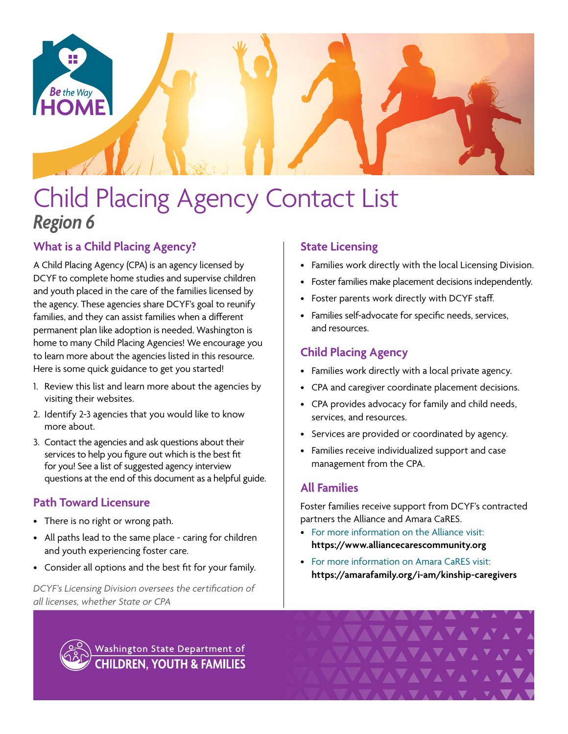

# Child Placing Agency Contact List *Region 6*

# **What is a Child Placing Agency?**

A Child Placing Agency (CPA) is an agency licensed by DCYF to complete home studies and supervise children and youth placed in the care of the families licensed by the agency. These agencies share DCYF's goal to reunify families, and they can assist families when a different permanent plan like adoption is needed. Washington is home to many Child Placing Agencies! We encourage you to learn more about the agencies listed in this resource. Here is some quick guidance to get you started!

- 1. Review this list and learn more about the agencies by visiting their websites.
- 2. Identify 2-3 agencies that you would like to know more about.
- 3. Contact the agencies and ask questions about their services to help you figure out which is the best fit for you! See a list of suggested agency interview questions at the end of this document as a helpful guide.

# **Path Toward Licensure**

- There is no right or wrong path.
- All paths lead to the same place caring for children and youth experiencing foster care.
- Consider all options and the best fit for your family.

*DCYF's Licensing Division oversees the certification of all licenses, whether State or CPA*

# **State Licensing**

- Families work directly with the local Licensing Division.
- Foster families make placement decisions independently.
- Foster parents work directly with DCYF staff.
- Families self-advocate for specific needs, services, and resources.

## **Child Placing Agency**

- Families work directly with a local private agency.
- CPA and caregiver coordinate placement decisions.
- CPA provides advocacy for family and child needs, services, and resources.
- Services are provided or coordinated by agency.
- Families receive individualized support and case management from the CPA.

## **All Families**

Foster families receive support from DCYF's contracted partners the Alliance and Amara CaRES.

- For more information on the Alliance visit: **<https://www.alliancecarescommunity.org>**
- For more information on Amara CaRES visit: **[https://amarafamily.org/i-am/kinship-caregivers](https://amarafamily.org/i-am/kinship-caregivers/)**

VAVAVAV



Washington State Department of **CHILDREN, YOUTH & FAMILIES**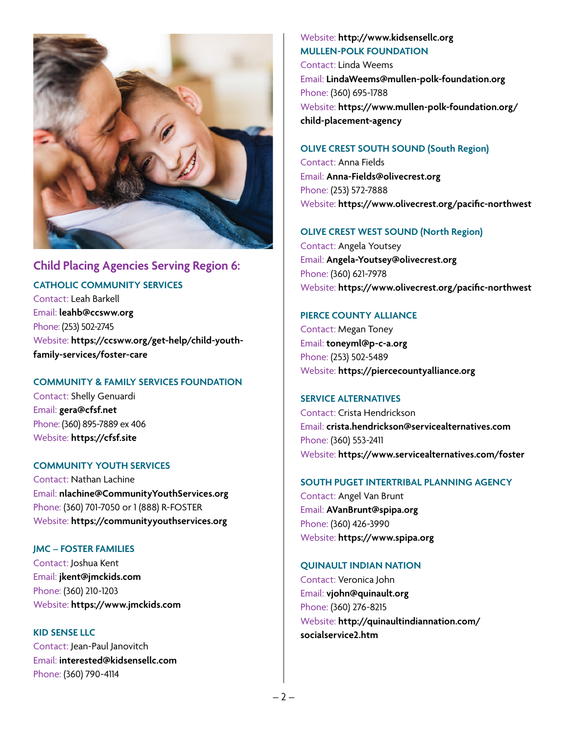

## **Child Placing Agencies Serving Region 6:**

**CATHOLIC COMMUNITY SERVICES**

Contact: Leah Barkell Email: **[leahb@ccsww.org](mailto:leahb%40ccsww.org?subject=)** Phone: (253) 502-2745 Website: **[https://ccsww.org/get-help/child-youth](https://ccsww.org/get-help/child-youth-family-services/foster-care)[family-services/foster-care](https://ccsww.org/get-help/child-youth-family-services/foster-care)**

#### **COMMUNITY & FAMILY SERVICES FOUNDATION**

Contact: Shelly Genuardi Email: **[gera@cfsf.net](mailto:gera%40cfsf.net?subject=)** Phone: (360) 895-7889 ex 406 Website: **<https://cfsf.site>**

#### **COMMUNITY YOUTH SERVICES**

Contact: Nathan Lachine Email: **[nlachine@CommunityYouthServices.org](mailto:nlachine%40CommunityYouthServices.org?subject=)** Phone: (360) 701-7050 or 1 (888) R-FOSTER Website: **<https://communityyouthservices.org>**

#### **JMC – FOSTER FAMILIES**

Contact: Joshua Kent Email: **[jkent@jmckids.com](mailto:jkent%40jmckids.com?subject=)** Phone: (360) 210-1203 Website: **<https://www.jmckids.com>**

**KID SENSE LLC** Contact: Jean-Paul Janovitch Email: **[interested@kidsensellc.com](mailto:interested%40kidsensellc.com?subject=)** Phone: (360) 790-4114

## Website: **<http://www.kidsensellc.org> MULLEN-POLK FOUNDATION**

Contact: Linda Weems Email: **[LindaWeems@mullen-polk-foundation.org](mailto:LindaWeems%40mullen-polk-foundation.org?subject=)** Phone: (360) 695-1788 Website: **[https://www.mullen-polk-foundation.org/](https://www.mullen-polk-foundation.org/child-placement-agency) [child-placement-agency](https://www.mullen-polk-foundation.org/child-placement-agency)**

#### **OLIVE CREST SOUTH SOUND (South Region)**

Contact: Anna Fields Email[:](mailto:%20Angela-Youtsey%40olivecrest.org?subject=) **[Anna-Fields@olivecrest.org](mailto:Anna-Fields%40olivecrest.org?subject=)** Phone: (253) 572-7888 Website: **<https://www.olivecrest.org/pacific-northwest>**

#### **OLIVE CREST WEST SOUND (North Region)**

Contact: Angela Youtsey Email: **[Angela-Youtsey@olivecrest.org](mailto:%20Angela-Youtsey%40olivecrest.org?subject=)** Phone: (360) 621-7978 Website: **<https://www.olivecrest.org/pacific-northwest>**

#### **PIERCE COUNTY ALLIANCE**

Contact: Megan Toney Email: **[toneyml@p-c-a.org](mailto:toneyml%40p-c-a.org?subject=)** Phone: (253) 502-5489 Website: **<https://piercecountyalliance.org>**

#### **SERVICE ALTERNATIVES**

Contact: Crista Hendrickson Email: **[crista.hendrickson@servicealternatives.com](mailto:crista.hendrickson%40servicealternatives.com?subject=)** Phone: (360) 553-2411 Website: **[https://www.servicealternatives.com](https://servicealternatives.com/what-we-do/programs-for-children-families/foster-parent-recruitment/)/foster**

#### **SOUTH PUGET INTERTRIBAL PLANNING AGENCY**

Contact: Angel Van Brunt Email: **[AVanBrunt@spipa.org](mailto:AVanBrunt%40spipa.org?subject=)** Phone: (360) 426-3990 Website: **<https://www.spipa.org>**

#### **QUINAULT INDIAN NATION**

Contact: Veronica John Email: **[vjohn@quinault.org](mailto:vjohn%40quinault.org?subject=)** Phone: (360) 276-8215 Website: **[http://quinaultindiannation.com/](http://quinaultindiannation.com/socialservice2.htm) [socialservice2.htm](http://quinaultindiannation.com/socialservice2.htm)**